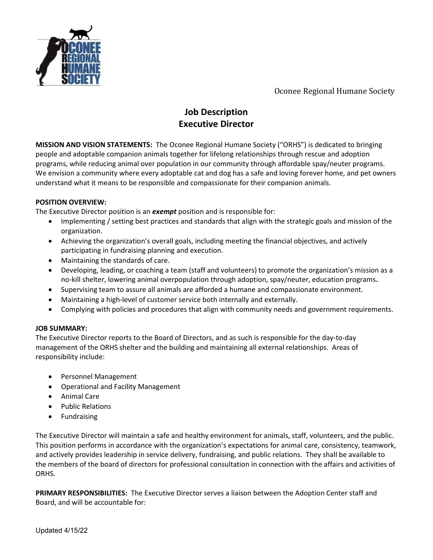

Oconee Regional Humane Society

# Job Description Executive Director

MISSION AND VISION STATEMENTS: The Oconee Regional Humane Society ("ORHS") is dedicated to bringing people and adoptable companion animals together for lifelong relationships through rescue and adoption programs, while reducing animal over population in our community through affordable spay/neuter programs. We envision a community where every adoptable cat and dog has a safe and loving forever home, and pet owners understand what it means to be responsible and compassionate for their companion animals.

### POSITION OVERVIEW:

The Executive Director position is an exempt position and is responsible for:

- Implementing / setting best practices and standards that align with the strategic goals and mission of the organization.
- Achieving the organization's overall goals, including meeting the financial objectives, and actively participating in fundraising planning and execution.
- Maintaining the standards of care.
- Developing, leading, or coaching a team (staff and volunteers) to promote the organization's mission as a no-kill shelter, lowering animal overpopulation through adoption, spay/neuter, education programs.
- Supervising team to assure all animals are afforded a humane and compassionate environment.
- Maintaining a high-level of customer service both internally and externally.
- Complying with policies and procedures that align with community needs and government requirements.

#### JOB SUMMARY:

The Executive Director reports to the Board of Directors, and as such is responsible for the day-to-day management of the ORHS shelter and the building and maintaining all external relationships. Areas of responsibility include:

- Personnel Management
- Operational and Facility Management
- Animal Care
- Public Relations
- **•** Fundraising

The Executive Director will maintain a safe and healthy environment for animals, staff, volunteers, and the public. This position performs in accordance with the organization's expectations for animal care, consistency, teamwork, and actively provides leadership in service delivery, fundraising, and public relations. They shall be available to the members of the board of directors for professional consultation in connection with the affairs and activities of ORHS.

PRIMARY RESPONSIBILITIES: The Executive Director serves a liaison between the Adoption Center staff and Board, and will be accountable for: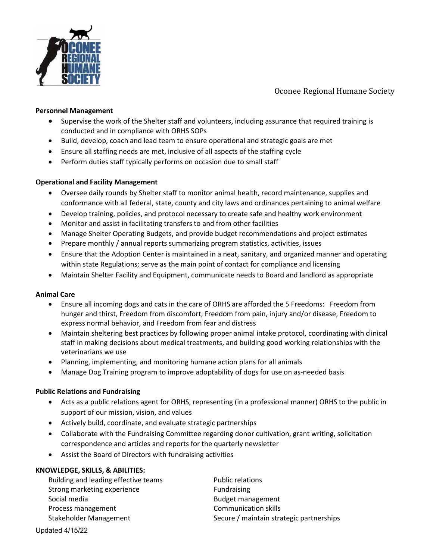

Oconee Regional Humane Society

#### Personnel Management

- Supervise the work of the Shelter staff and volunteers, including assurance that required training is conducted and in compliance with ORHS SOPs
- Build, develop, coach and lead team to ensure operational and strategic goals are met
- Ensure all staffing needs are met, inclusive of all aspects of the staffing cycle
- Perform duties staff typically performs on occasion due to small staff

#### Operational and Facility Management

- Oversee daily rounds by Shelter staff to monitor animal health, record maintenance, supplies and conformance with all federal, state, county and city laws and ordinances pertaining to animal welfare
- Develop training, policies, and protocol necessary to create safe and healthy work environment
- Monitor and assist in facilitating transfers to and from other facilities
- Manage Shelter Operating Budgets, and provide budget recommendations and project estimates
- Prepare monthly / annual reports summarizing program statistics, activities, issues
- Ensure that the Adoption Center is maintained in a neat, sanitary, and organized manner and operating within state Regulations; serve as the main point of contact for compliance and licensing
- Maintain Shelter Facility and Equipment, communicate needs to Board and landlord as appropriate

#### Animal Care

- Ensure all incoming dogs and cats in the care of ORHS are afforded the 5 Freedoms: Freedom from hunger and thirst, Freedom from discomfort, Freedom from pain, injury and/or disease, Freedom to express normal behavior, and Freedom from fear and distress
- Maintain sheltering best practices by following proper animal intake protocol, coordinating with clinical staff in making decisions about medical treatments, and building good working relationships with the veterinarians we use
- Planning, implementing, and monitoring humane action plans for all animals
- Manage Dog Training program to improve adoptability of dogs for use on as-needed basis

#### Public Relations and Fundraising

- Acts as a public relations agent for ORHS, representing (in a professional manner) ORHS to the public in support of our mission, vision, and values
- Actively build, coordinate, and evaluate strategic partnerships
- Collaborate with the Fundraising Committee regarding donor cultivation, grant writing, solicitation correspondence and articles and reports for the quarterly newsletter
- Assist the Board of Directors with fundraising activities

#### KNOWLEDGE, SKILLS, & ABILITIES:

Building and leading effective teams Public relations Strong marketing experience Fundraising Social media and the state of the Budget management Process management **Communication skills** 

Stakeholder Management Secure / maintain strategic partnerships

Updated 4/15/22